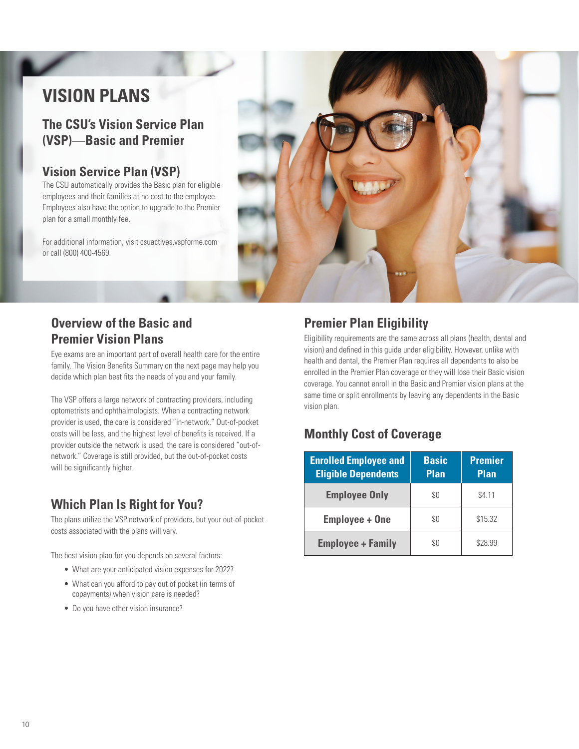# **VISION PLANS**

**The CSU's Vision Service Plan (VSP)**—**Basic and Premier** 

## **Vision Service Plan (VSP)**

The CSU automatically provides the Basic plan for eligible employees and their families at no cost to the employee. Employees also have the option to upgrade to the Premier plan for a small monthly fee.

For additional information, visit [csuactives.vspforme.com](http://csuactives.vspforme.com) or call (800) 400-4569.



## **Overview of the Basic and Premier Vision Plans**

Eye exams are an important part of overall health care for the entire family. The Vision Benefits Summary on the next page may help you decide which plan best fits the needs of you and your family.

The VSP offers a large network of contracting providers, including optometrists and ophthalmologists. When a contracting network provider is used, the care is considered "in-network." Out-of-pocket costs will be less, and the highest level of benefits is received. If a provider outside the network is used, the care is considered "out-ofnetwork." Coverage is still provided, but the out-of-pocket costs will be significantly higher.

# **Which Plan Is Right for You?**

The plans utilize the VSP network of providers, but your out-of-pocket costs associated with the plans will vary.

The best vision plan for you depends on several factors:

- What are your anticipated vision expenses for 2022?
- What can you afford to pay out of pocket (in terms of copayments) when vision care is needed?
- Do you have other vision insurance?

# **Premier Plan Eligibility**

Eligibility requirements are the same across all plans (health, dental and vision) and defined in this guide under eligibility. However, unlike with health and dental, the Premier Plan requires all dependents to also be enrolled in the Premier Plan coverage or they will lose their Basic vision coverage. You cannot enroll in the Basic and Premier vision plans at the same time or split enrollments by leaving any dependents in the Basic vision plan.

## **Monthly Cost of Coverage**

| <b>Enrolled Employee and</b><br><b>Eligible Dependents</b> | <b>Basic</b><br><b>Plan</b> | <b>Premier</b><br><b>Plan</b> |
|------------------------------------------------------------|-----------------------------|-------------------------------|
| <b>Employee Only</b>                                       | \$0                         | \$4.11                        |
| <b>Employee + One</b>                                      | \$0                         | \$15.32                       |
| <b>Employee + Family</b>                                   | SO.                         | \$28.99                       |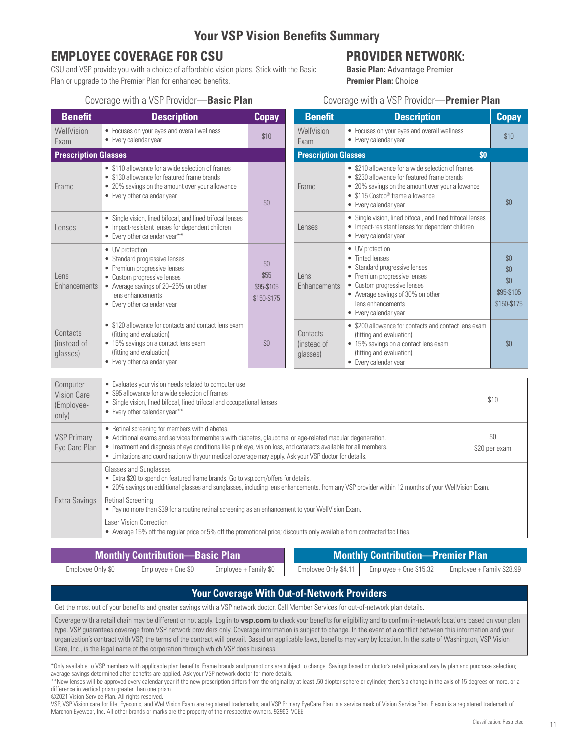## **Your VSP Vision Benefits Summary**

# **EMPLOYEE COVERAGE FOR CSU PROVIDER NETWORK:** CSU and VSP provide you with a choice of affordable vision plans. Stick with the Basic **Passic Plan:** Advantage Premier

CSU and VSP provide you with a choice of affordable vision plans. Stick with the Basic Plan or upgrade to the Premier Plan for enhanced benefits. **Premier Plan:** Choice

## Coverage with a VSP Provider—**Basic Plan** Coverage with a VSP Provider—**Premier Plan**

| <b>Benefit</b>                                        | <b>Description</b>                                                                                                                                                                                                                                                   | <b>Copay</b>                             | <b>Benefit</b>                      | <b>Description</b>                                                                                                                                                                                                                 |     | <b>Copay</b>                                   |
|-------------------------------------------------------|----------------------------------------------------------------------------------------------------------------------------------------------------------------------------------------------------------------------------------------------------------------------|------------------------------------------|-------------------------------------|------------------------------------------------------------------------------------------------------------------------------------------------------------------------------------------------------------------------------------|-----|------------------------------------------------|
| WellVision<br>Exam                                    | • Focuses on your eyes and overall wellness<br>• Every calendar year                                                                                                                                                                                                 | \$10                                     | WellVision<br>Exam                  | • Focuses on your eyes and overall wellness<br>• Every calendar year                                                                                                                                                               |     | \$10                                           |
| <b>Prescription Glasses</b>                           |                                                                                                                                                                                                                                                                      |                                          | <b>Prescription Glasses</b>         |                                                                                                                                                                                                                                    | \$0 |                                                |
| Frame                                                 | • \$110 allowance for a wide selection of frames<br>• \$130 allowance for featured frame brands<br>• 20% savings on the amount over your allowance<br>• Every other calendar year                                                                                    | \$0                                      | Frame                               | • \$210 allowance for a wide selection of frames<br>• \$230 allowance for featured frame brands<br>• 20% savings on the amount over your allowance<br>$\bullet$ \$115 Costco <sup>®</sup> frame allowance<br>• Every calendar year |     | \$0                                            |
| Lenses                                                | • Single vision, lined bifocal, and lined trifocal lenses<br>• Impact-resistant lenses for dependent children<br>• Every other calendar year**                                                                                                                       |                                          | Lenses                              | • Single vision, lined bifocal, and lined trifocal lenses<br>• Impact-resistant lenses for dependent children<br>• Every calendar year                                                                                             |     |                                                |
| Lens<br>Enhancements                                  | • UV protection<br>• Standard progressive lenses<br>• Premium progressive lenses<br>• Custom progressive lenses<br>• Average savings of 20-25% on other<br>lens enhancements<br>• Every other calendar year                                                          | \$0<br>\$55<br>\$95-\$105<br>\$150-\$175 | Lens<br>Enhancements                | • UV protection<br>• Tinted lenses<br>• Standard progressive lenses<br>• Premium progressive lenses<br>• Custom progressive lenses<br>• Average savings of 30% on other<br>lens enhancements<br>• Every calendar year              |     | \$0<br>\$0<br>\$0<br>\$95-\$105<br>\$150-\$175 |
| Contacts<br>(instead of<br>glasses)                   | • \$120 allowance for contacts and contact lens exam<br>(fitting and evaluation)<br>• 15% savings on a contact lens exam<br>(fitting and evaluation)<br>• Every other calendar year                                                                                  | \$0                                      | Contacts<br>linstead of<br>glasses) | • \$200 allowance for contacts and contact lens exam<br>(fitting and evaluation)<br>• 15% savings on a contact lens exam<br>(fitting and evaluation)<br>• Every calendar year                                                      |     | \$0                                            |
| Computer<br><b>Vision Care</b><br>(Employee-<br>only) | • Evaluates your vision needs related to computer use<br>• \$95 allowance for a wide selection of frames<br>• Single vision, lined bifocal, lined trifocal and occupational lenses<br>• Every other calendar year**<br>• Retinal screening for members with diabetes |                                          |                                     |                                                                                                                                                                                                                                    |     | \$10                                           |

| <b>VSP Primary</b> | Eye Care Plan                                                                                                                                        | • Retinal screening for members with diabetes.<br>• Additional exams and services for members with diabetes, glaucoma, or age-related macular degeneration.<br>• Treatment and diagnosis of eye conditions like pink eye, vision loss, and cataracts available for all members.<br>• Limitations and coordination with your medical coverage may apply. Ask your VSP doctor for details. | \$0<br>\$20 per exam |  |  |  |
|--------------------|------------------------------------------------------------------------------------------------------------------------------------------------------|------------------------------------------------------------------------------------------------------------------------------------------------------------------------------------------------------------------------------------------------------------------------------------------------------------------------------------------------------------------------------------------|----------------------|--|--|--|
|                    |                                                                                                                                                      | Glasses and Sunglasses<br>• Extra \$20 to spend on featured frame brands. Go to vsp.com/offers for details.<br>• 20% savings on additional glasses and sunglasses, including lens enhancements, from any VSP provider within 12 months of your WellVision Exam.                                                                                                                          |                      |  |  |  |
| Extra Savings      | Retinal Screening<br>• Pay no more than \$39 for a routine retinal screening as an enhancement to your WellVision Exam.                              |                                                                                                                                                                                                                                                                                                                                                                                          |                      |  |  |  |
|                    | Laser Vision Correction<br>• Average 15% off the regular price or 5% off the promotional price; discounts only available from contracted facilities. |                                                                                                                                                                                                                                                                                                                                                                                          |                      |  |  |  |

| <b>Monthly Contribution—Basic Plan</b> |                    |                       | <b>Monthly Contribution-Premier Plan</b> |                         |                           |  |
|----------------------------------------|--------------------|-----------------------|------------------------------------------|-------------------------|---------------------------|--|
| Employee Only \$0                      | Employee + One \$0 | Employee + Family \$0 | Employee Only \$4.11                     | Employee + One $$15.32$ | Employee + Family \$28.99 |  |

| <b>Your Coverage With Out-of-Network Providers</b>                                                                                                                                                                                                                                                                                                                                                                                                                                                                                                                                                                      |
|-------------------------------------------------------------------------------------------------------------------------------------------------------------------------------------------------------------------------------------------------------------------------------------------------------------------------------------------------------------------------------------------------------------------------------------------------------------------------------------------------------------------------------------------------------------------------------------------------------------------------|
| Get the most out of your benefits and greater savings with a VSP network doctor. Call Member Services for out-of-network plan details.                                                                                                                                                                                                                                                                                                                                                                                                                                                                                  |
| Coverage with a retail chain may be different or not apply. Log in to vsp.com to check your benefits for eligibility and to confirm in-network locations based on your plan<br>type. VSP guarantees coverage from VSP network providers only. Coverage information is subject to change. In the event of a conflict between this information and your<br>organization's contract with VSP, the terms of the contract will prevail. Based on applicable laws, benefits may vary by location. In the state of Washington, VSP Vision<br>Care, Inc., is the legal name of the corporation through which VSP does business. |

\*Only available to VSP members with applicable plan benefits. Frame brands and promotions are subject to change. Savings based on doctor's retail price and vary by plan and purchase selection; average savings determined after benefits are applied. Ask your VSP network doctor for more details.

 \*\*New lenses will be approved every calendar year if the new prescription differs from the original by at least .50 diopter sphere or cylinder, there's a change in the axis of 15 degrees or more, or a difference in vertical prism greater than one prism.

©2021 Vision Service Plan. All rights reserved.

 VSP, VSP Vision care for life, Eyeconic, and WellVision Exam are registered trademarks, and VSP Primary EyeCare Plan is a service mark of Vision Service Plan. Flexon is a registered trademark of Marchon Eyewear, Inc. All other brands or marks are the property of their respective owners. 92963 VCEE